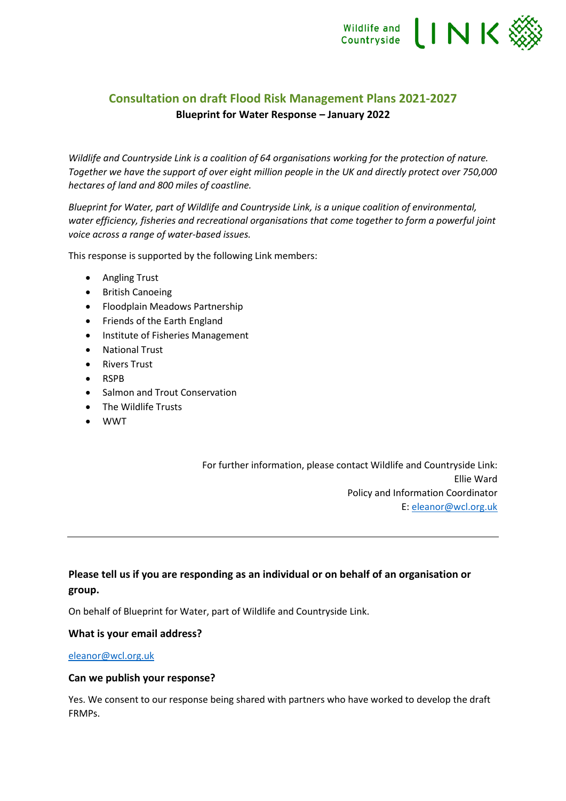

# **Consultation on draft Flood Risk Management Plans 2021-2027 Blueprint for Water Response – January 2022**

*Wildlife and Countryside Link is a coalition of 64 organisations working for the protection of nature. Together we have the support of over eight million people in the UK and directly protect over 750,000 hectares of land and 800 miles of coastline.* 

*Blueprint for Water, part of Wildlife and Countryside Link, is a unique coalition of environmental, water efficiency, fisheries and recreational organisations that come together to form a powerful joint voice across a range of water-based issues.*

This response is supported by the following Link members:

- Angling Trust
- British Canoeing
- Floodplain Meadows Partnership
- Friends of the Earth England
- Institute of Fisheries Management
- National Trust
- Rivers Trust
- RSPB
- Salmon and Trout Conservation
- The Wildlife Trusts
- WWT

For further information, please contact Wildlife and Countryside Link: Ellie Ward Policy and Information Coordinator E: [eleanor@wcl.org.uk](mailto:eleanor@wcl.org.uk)

### **Please tell us if you are responding as an individual or on behalf of an organisation or group.**

On behalf of Blueprint for Water, part of Wildlife and Countryside Link.

#### **What is your email address?**

#### [eleanor@wcl.org.uk](mailto:eleanor@wcl.org.uk)

#### **Can we publish your response?**

Yes. We consent to our response being shared with partners who have worked to develop the draft FRMPs.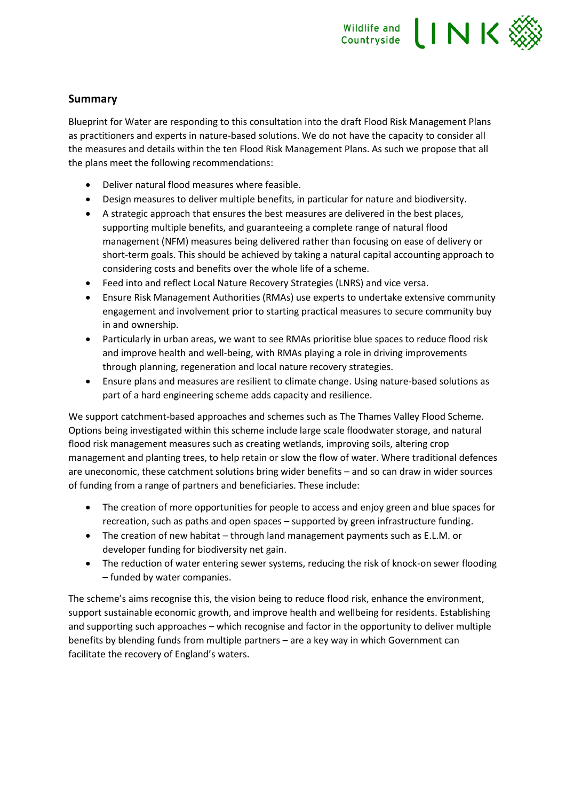

### **Summary**

Blueprint for Water are responding to this consultation into the draft Flood Risk Management Plans as practitioners and experts in nature-based solutions. We do not have the capacity to consider all the measures and details within the ten Flood Risk Management Plans. As such we propose that all the plans meet the following recommendations:

- Deliver natural flood measures where feasible.
- Design measures to deliver multiple benefits, in particular for nature and biodiversity.
- A strategic approach that ensures the best measures are delivered in the best places, supporting multiple benefits, and guaranteeing a complete range of natural flood management (NFM) measures being delivered rather than focusing on ease of delivery or short-term goals. This should be achieved by taking a natural capital accounting approach to considering costs and benefits over the whole life of a scheme.
- Feed into and reflect Local Nature Recovery Strategies (LNRS) and vice versa.
- Ensure Risk Management Authorities (RMAs) use experts to undertake extensive community engagement and involvement prior to starting practical measures to secure community buy in and ownership.
- Particularly in urban areas, we want to see RMAs prioritise blue spaces to reduce flood risk and improve health and well-being, with RMAs playing a role in driving improvements through planning, regeneration and local nature recovery strategies.
- Ensure plans and measures are resilient to climate change. Using nature-based solutions as part of a hard engineering scheme adds capacity and resilience.

We support catchment-based approaches and schemes such as The Thames Valley Flood Scheme. Options being investigated within this scheme include large scale floodwater storage, and natural flood risk management measures such as creating wetlands, improving soils, altering crop management and planting trees, to help retain or slow the flow of water. Where traditional defences are uneconomic, these catchment solutions bring wider benefits – and so can draw in wider sources of funding from a range of partners and beneficiaries. These include:

- The creation of more opportunities for people to access and enjoy green and blue spaces for recreation, such as paths and open spaces – supported by green infrastructure funding.
- The creation of new habitat through land management payments such as E.L.M. or developer funding for biodiversity net gain.
- The reduction of water entering sewer systems, reducing the risk of knock-on sewer flooding – funded by water companies.

The scheme's aims recognise this, the vision being to reduce flood risk, enhance the environment, support sustainable economic growth, and improve health and wellbeing for residents. Establishing and supporting such approaches – which recognise and factor in the opportunity to deliver multiple benefits by blending funds from multiple partners – are a key way in which Government can facilitate the recovery of England's waters.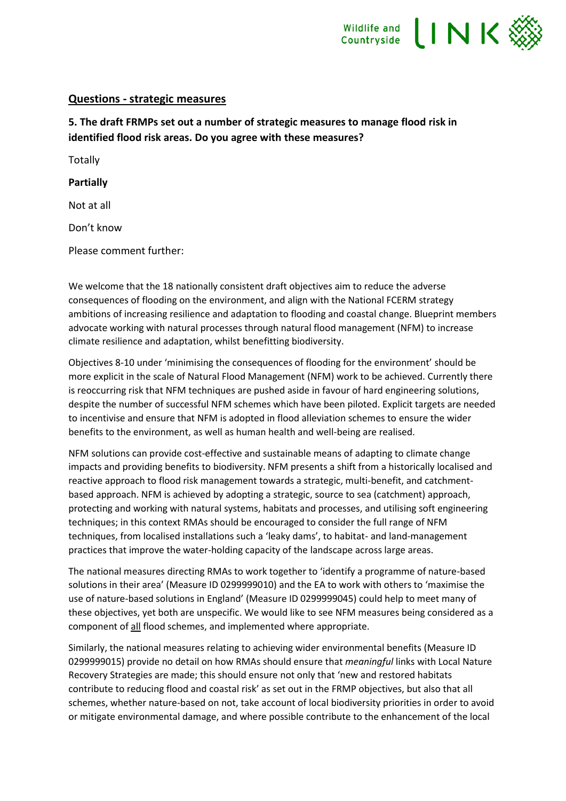

### **Questions - strategic measures**

**5. The draft FRMPs set out a number of strategic measures to manage flood risk in identified flood risk areas. Do you agree with these measures?**

**Totally** 

**Partially**

Not at all

Don't know

Please comment further:

We welcome that the 18 nationally consistent draft objectives aim to reduce the adverse consequences of flooding on the environment, and align with the National FCERM strategy ambitions of increasing resilience and adaptation to flooding and coastal change. Blueprint members advocate working with natural processes through natural flood management (NFM) to increase climate resilience and adaptation, whilst benefitting biodiversity.

Objectives 8-10 under 'minimising the consequences of flooding for the environment' should be more explicit in the scale of Natural Flood Management (NFM) work to be achieved. Currently there is reoccurring risk that NFM techniques are pushed aside in favour of hard engineering solutions, despite the number of successful NFM schemes which have been piloted. Explicit targets are needed to incentivise and ensure that NFM is adopted in flood alleviation schemes to ensure the wider benefits to the environment, as well as human health and well-being are realised.

NFM solutions can provide cost-effective and sustainable means of adapting to climate change impacts and providing benefits to biodiversity. NFM presents a shift from a historically localised and reactive approach to flood risk management towards a strategic, multi-benefit, and catchmentbased approach. NFM is achieved by adopting a strategic, source to sea (catchment) approach, protecting and working with natural systems, habitats and processes, and utilising soft engineering techniques; in this context RMAs should be encouraged to consider the full range of NFM techniques, from localised installations such a 'leaky dams', to habitat- and land-management practices that improve the water-holding capacity of the landscape across large areas.

The national measures directing RMAs to work together to 'identify a programme of nature-based solutions in their area' (Measure ID 0299999010) and the EA to work with others to 'maximise the use of nature-based solutions in England' (Measure ID 0299999045) could help to meet many of these objectives, yet both are unspecific. We would like to see NFM measures being considered as a component of all flood schemes, and implemented where appropriate.

Similarly, the national measures relating to achieving wider environmental benefits (Measure ID 0299999015) provide no detail on how RMAs should ensure that *meaningful* links with Local Nature Recovery Strategies are made; this should ensure not only that 'new and restored habitats contribute to reducing flood and coastal risk' as set out in the FRMP objectives, but also that all schemes, whether nature-based on not, take account of local biodiversity priorities in order to avoid or mitigate environmental damage, and where possible contribute to the enhancement of the local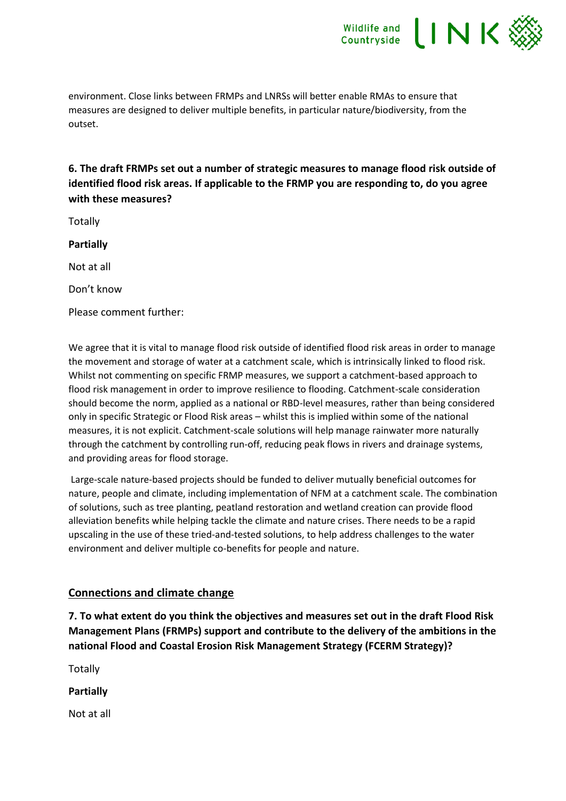

environment. Close links between FRMPs and LNRSs will better enable RMAs to ensure that measures are designed to deliver multiple benefits, in particular nature/biodiversity, from the outset.

**6. The draft FRMPs set out a number of strategic measures to manage flood risk outside of identified flood risk areas. If applicable to the FRMP you are responding to, do you agree with these measures?**

**Totally** 

**Partially**

Not at all

Don't know

Please comment further:

We agree that it is vital to manage flood risk outside of identified flood risk areas in order to manage the movement and storage of water at a catchment scale, which is intrinsically linked to flood risk. Whilst not commenting on specific FRMP measures, we support a catchment-based approach to flood risk management in order to improve resilience to flooding. Catchment-scale consideration should become the norm, applied as a national or RBD-level measures, rather than being considered only in specific Strategic or Flood Risk areas – whilst this is implied within some of the national measures, it is not explicit. Catchment-scale solutions will help manage rainwater more naturally through the catchment by controlling run-off, reducing peak flows in rivers and drainage systems, and providing areas for flood storage.

Large-scale nature-based projects should be funded to deliver mutually beneficial outcomes for nature, people and climate, including implementation of NFM at a catchment scale. The combination of solutions, such as tree planting, peatland restoration and wetland creation can provide flood alleviation benefits while helping tackle the climate and nature crises. There needs to be a rapid upscaling in the use of these tried-and-tested solutions, to help address challenges to the water environment and deliver multiple co-benefits for people and nature.

## **Connections and climate change**

**7. To what extent do you think the objectives and measures set out in the draft Flood Risk Management Plans (FRMPs) support and contribute to the delivery of the ambitions in the national Flood and Coastal Erosion Risk Management Strategy (FCERM Strategy)?**

Totally

**Partially**

Not at all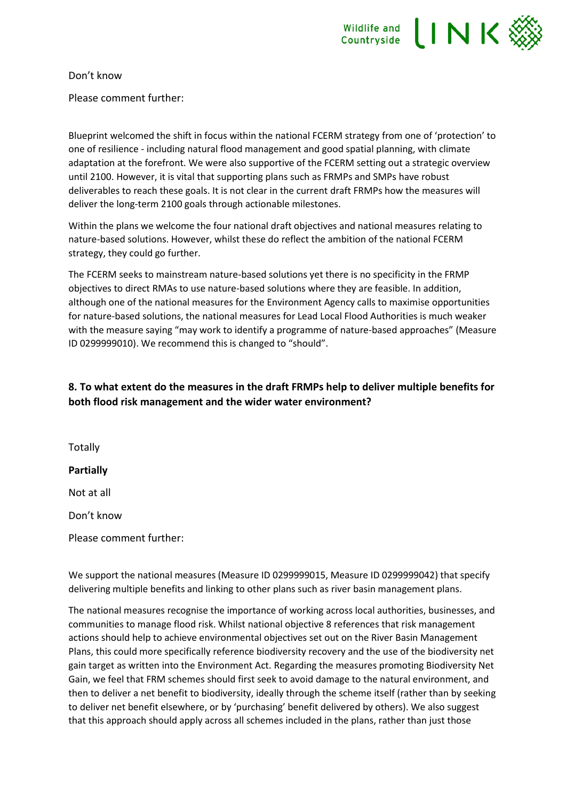

Don't know

Please comment further:

Blueprint welcomed the shift in focus within the national FCERM strategy from one of 'protection' to one of resilience - including natural flood management and good spatial planning, with climate adaptation at the forefront. We were also supportive of the FCERM setting out a strategic overview until 2100. However, it is vital that supporting plans such as FRMPs and SMPs have robust deliverables to reach these goals. It is not clear in the current draft FRMPs how the measures will deliver the long-term 2100 goals through actionable milestones.

Within the plans we welcome the four national draft objectives and national measures relating to nature-based solutions. However, whilst these do reflect the ambition of the national FCERM strategy, they could go further.

The FCERM seeks to mainstream nature-based solutions yet there is no specificity in the FRMP objectives to direct RMAs to use nature-based solutions where they are feasible. In addition, although one of the national measures for the Environment Agency calls to maximise opportunities for nature-based solutions, the national measures for Lead Local Flood Authorities is much weaker with the measure saying "may work to identify a programme of nature-based approaches" (Measure ID 0299999010). We recommend this is changed to "should".

## **8. To what extent do the measures in the draft FRMPs help to deliver multiple benefits for both flood risk management and the wider water environment?**

**Totally Partially** Not at all Don't know

Please comment further:

We support the national measures (Measure ID 0299999015, Measure ID 0299999042) that specify delivering multiple benefits and linking to other plans such as river basin management plans.

The national measures recognise the importance of working across local authorities, businesses, and communities to manage flood risk. Whilst national objective 8 references that risk management actions should help to achieve environmental objectives set out on the River Basin Management Plans, this could more specifically reference biodiversity recovery and the use of the biodiversity net gain target as written into the Environment Act. Regarding the measures promoting Biodiversity Net Gain, we feel that FRM schemes should first seek to avoid damage to the natural environment, and then to deliver a net benefit to biodiversity, ideally through the scheme itself (rather than by seeking to deliver net benefit elsewhere, or by 'purchasing' benefit delivered by others). We also suggest that this approach should apply across all schemes included in the plans, rather than just those